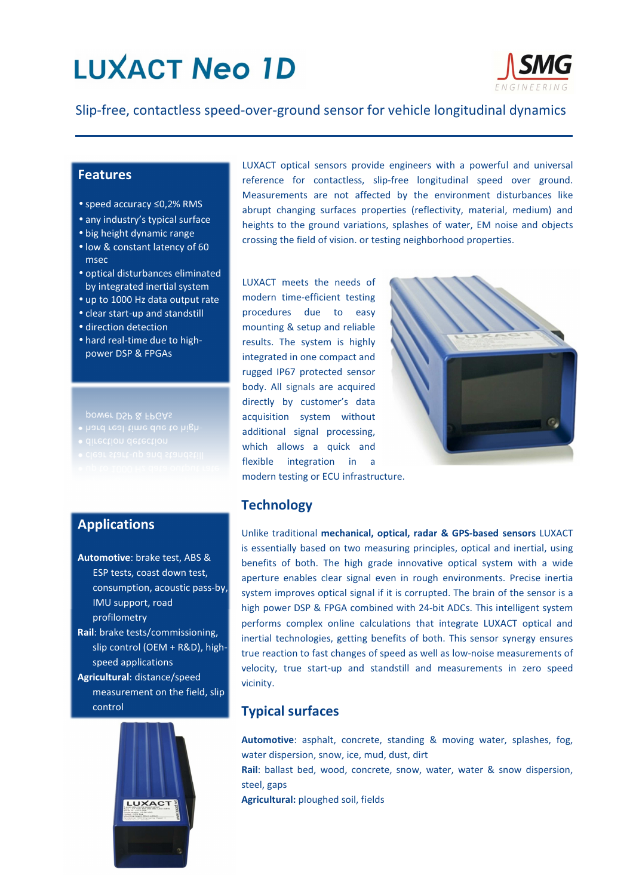# **LUXACT Neo 1D**



Slip-free, contactless speed-over-ground sensor for vehicle longitudinal dynamics

#### **Features**

- speed accuracy ≤0,2% RMS
- any industry's typical surface
- big height dynamic range
- low & constant latency of 60 msec
- optical disturbances eliminated by integrated inertial system
- up to 1000 Hz data output rate
- clear start-up and standstill
- direction detection
- hard real-time due to highpower DSP & FPGAs

power DSP & FPGAs

- 
- 
- 
- 

### Applications

Automotive: brake test, ABS & ESP tests, coast down test, consumption, acoustic pass-by, IMU support, road profilometry Rail: brake tests/commissioning, slip control (OEM + R&D), highspeed applications Agricultural: distance/speed measurement on the field, slip control



LUXACT optical sensors provide engineers with a powerful and universal reference for contactless, slip-free longitudinal speed over ground. Measurements are not affected by the environment disturbances like abrupt changing surfaces properties (reflectivity, material, medium) and heights to the ground variations, splashes of water, EM noise and objects crossing the field of vision. or testing neighborhood properties.

LUXACT meets the needs of modern time-efficient testing procedures due to easy mounting & setup and reliable results. The system is highly integrated in one compact and rugged IP67 protected sensor body. All signals are acquired directly by customer's data acquisition system without additional signal processing, which allows a quick and flexible integration in a modern testing or ECU infrastructure.



### **Technology**

Unlike traditional mechanical, optical, radar & GPS-based sensors LUXACT is essentially based on two measuring principles, optical and inertial, using benefits of both. The high grade innovative optical system with a wide aperture enables clear signal even in rough environments. Precise inertia system improves optical signal if it is corrupted. The brain of the sensor is a high power DSP & FPGA combined with 24-bit ADCs. This intelligent system performs complex online calculations that integrate LUXACT optical and inertial technologies, getting benefits of both. This sensor synergy ensures true reaction to fast changes of speed as well as low-noise measurements of velocity, true start-up and standstill and measurements in zero speed vicinity.

## Typical surfaces

Automotive: asphalt, concrete, standing & moving water, splashes, fog, water dispersion, snow, ice, mud, dust, dirt

Rail: ballast bed, wood, concrete, snow, water, water & snow dispersion, steel, gaps

Agricultural: ploughed soil, fields